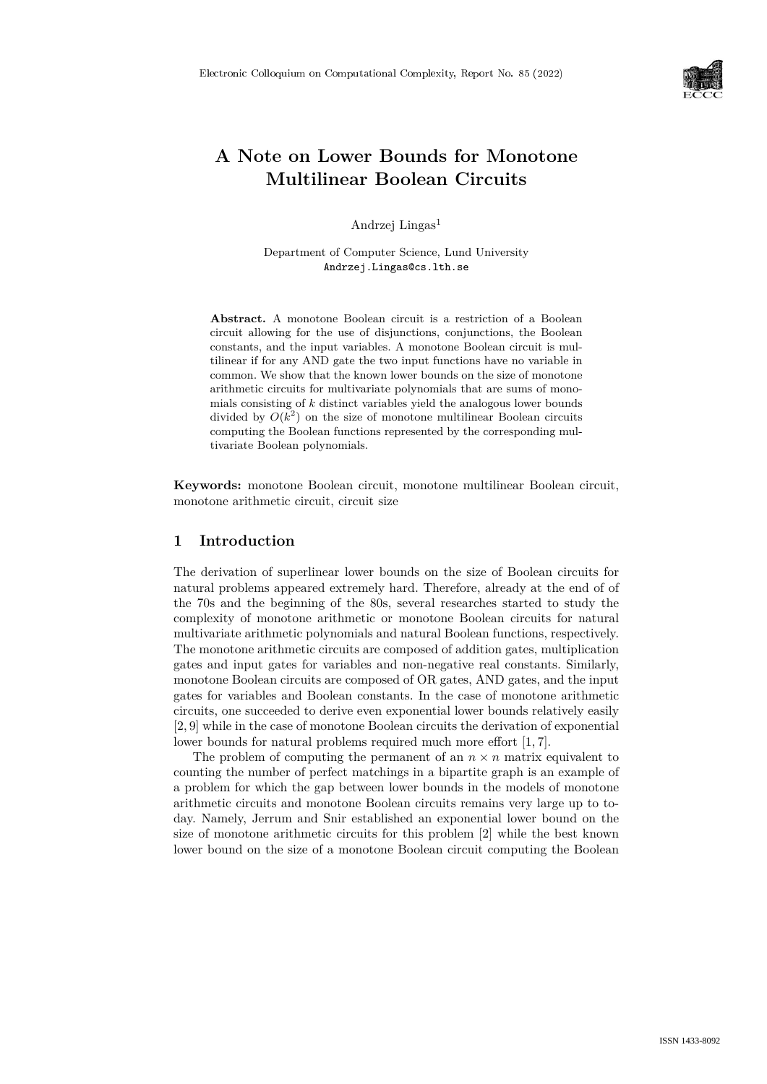

# **A Note on Lower Bounds for Monotone Multilinear Boolean Circuits**

Andrzej Lingas<sup>1</sup>

Department of Computer Science, Lund University Andrzej.Lingas@cs.lth.se

**Abstract.** A monotone Boolean circuit is a restriction of a Boolean circuit allowing for the use of disjunctions, conjunctions, the Boolean constants, and the input variables. A monotone Boolean circuit is multilinear if for any AND gate the two input functions have no variable in common. We show that the known lower bounds on the size of monotone arithmetic circuits for multivariate polynomials that are sums of monomials consisting of *k* distinct variables yield the analogous lower bounds divided by  $O(k^2)$  on the size of monotone multilinear Boolean circuits computing the Boolean functions represented by the corresponding multivariate Boolean polynomials.

**Keywords:** monotone Boolean circuit, monotone multilinear Boolean circuit, monotone arithmetic circuit, circuit size

### **1 Introduction**

The derivation of superlinear lower bounds on the size of Boolean circuits for natural problems appeared extremely hard. Therefore, already at the end of of the 70s and the beginning of the 80s, several researches started to study the complexity of monotone arithmetic or monotone Boolean circuits for natural multivariate arithmetic polynomials and natural Boolean functions, respectively. The monotone arithmetic circuits are composed of addition gates, multiplication gates and input gates for variables and non-negative real constants. Similarly, monotone Boolean circuits are composed of OR gates, AND gates, and the input gates for variables and Boolean constants. In the case of monotone arithmetic circuits, one succeeded to derive even exponential lower bounds relatively easily [2, 9] while in the case of monotone Boolean circuits the derivation of exponential lower bounds for natural problems required much more effort [1, 7].

The problem of computing the permanent of an  $n \times n$  matrix equivalent to counting the number of perfect matchings in a bipartite graph is an example of a problem for which the gap between lower bounds in the models of monotone arithmetic circuits and monotone Boolean circuits remains very large up to today. Namely, Jerrum and Snir established an exponential lower bound on the size of monotone arithmetic circuits for this problem [2] while the best known lower bound on the size of a monotone Boolean circuit computing the Boolean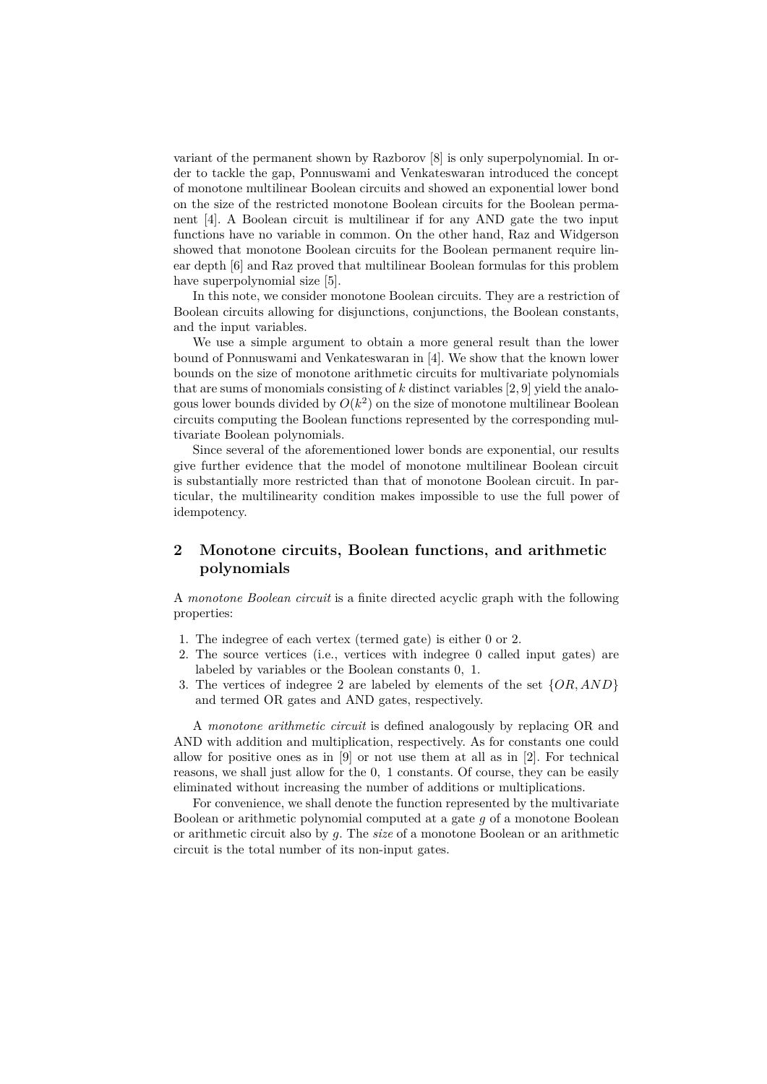variant of the permanent shown by Razborov [8] is only superpolynomial. In order to tackle the gap, Ponnuswami and Venkateswaran introduced the concept of monotone multilinear Boolean circuits and showed an exponential lower bond on the size of the restricted monotone Boolean circuits for the Boolean permanent [4]. A Boolean circuit is multilinear if for any AND gate the two input functions have no variable in common. On the other hand, Raz and Widgerson showed that monotone Boolean circuits for the Boolean permanent require linear depth [6] and Raz proved that multilinear Boolean formulas for this problem have superpolynomial size [5].

In this note, we consider monotone Boolean circuits. They are a restriction of Boolean circuits allowing for disjunctions, conjunctions, the Boolean constants, and the input variables.

We use a simple argument to obtain a more general result than the lower bound of Ponnuswami and Venkateswaran in [4]. We show that the known lower bounds on the size of monotone arithmetic circuits for multivariate polynomials that are sums of monomials consisting of *k* distinct variables [2, 9] yield the analogous lower bounds divided by  $O(k^2)$  on the size of monotone multilinear Boolean circuits computing the Boolean functions represented by the corresponding multivariate Boolean polynomials.

Since several of the aforementioned lower bonds are exponential, our results give further evidence that the model of monotone multilinear Boolean circuit is substantially more restricted than that of monotone Boolean circuit. In particular, the multilinearity condition makes impossible to use the full power of idempotency.

## **2 Monotone circuits, Boolean functions, and arithmetic polynomials**

A *monotone Boolean circuit* is a finite directed acyclic graph with the following properties:

- 1. The indegree of each vertex (termed gate) is either 0 or 2*.*
- 2. The source vertices (i.e., vertices with indegree 0 called input gates) are labeled by variables or the Boolean constants 0*,* 1*.*
- 3. The vertices of indegree 2 are labeled by elements of the set {*OR, AND*} and termed OR gates and AND gates, respectively.

A *monotone arithmetic circuit* is defined analogously by replacing OR and AND with addition and multiplication, respectively. As for constants one could allow for positive ones as in [9] or not use them at all as in [2]. For technical reasons, we shall just allow for the 0*,* 1 constants. Of course, they can be easily eliminated without increasing the number of additions or multiplications.

For convenience, we shall denote the function represented by the multivariate Boolean or arithmetic polynomial computed at a gate *g* of a monotone Boolean or arithmetic circuit also by *g.* The *size* of a monotone Boolean or an arithmetic circuit is the total number of its non-input gates.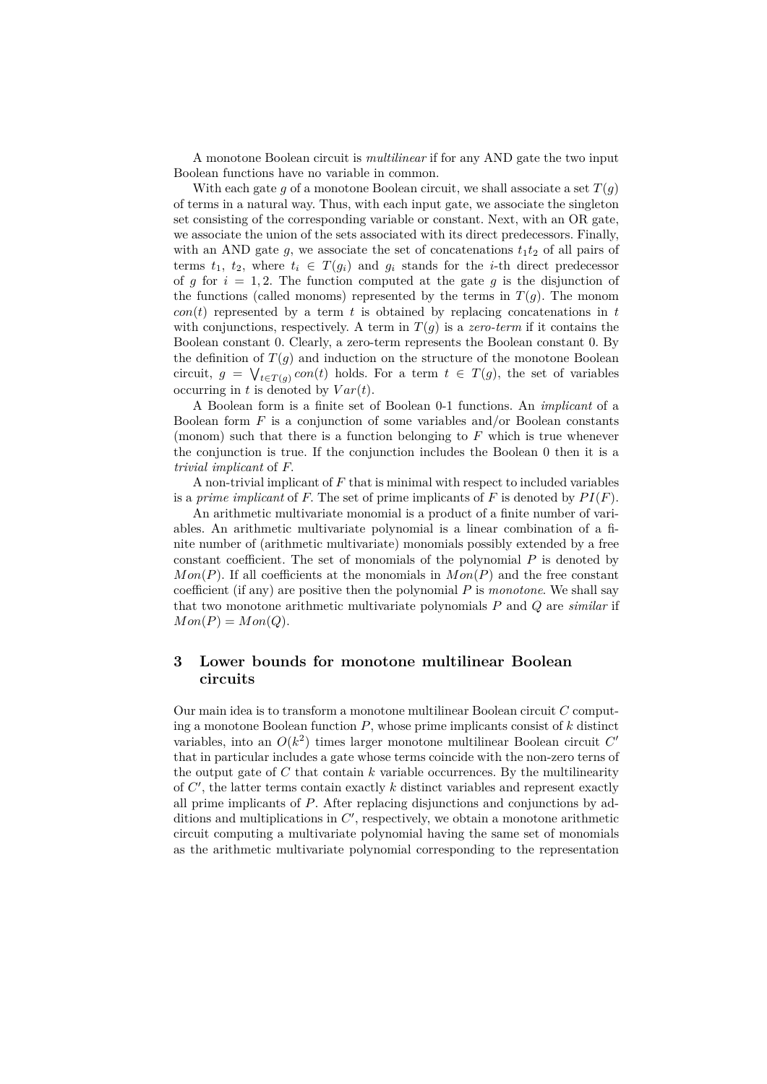A monotone Boolean circuit is *multilinear* if for any AND gate the two input Boolean functions have no variable in common.

With each gate  $g$  of a monotone Boolean circuit, we shall associate a set  $T(g)$ of terms in a natural way. Thus, with each input gate, we associate the singleton set consisting of the corresponding variable or constant. Next, with an OR gate, we associate the union of the sets associated with its direct predecessors. Finally, with an AND gate  $g$ , we associate the set of concatenations  $t_1t_2$  of all pairs of terms  $t_1, t_2,$  where  $t_i \in T(g_i)$  and  $g_i$  stands for the *i*-th direct predecessor of *q* for  $i = 1, 2$ . The function computed at the gate *q* is the disjunction of the functions (called monoms) represented by the terms in  $T(q)$ . The monom  $con(t)$  represented by a term *t* is obtained by replacing concatenations in *t* with conjunctions, respectively. A term in  $T(g)$  is a *zero-term* if it contains the Boolean constant 0*.* Clearly, a zero-term represents the Boolean constant 0*.* By the definition of  $T(g)$  and induction on the structure of the monotone Boolean circuit,  $g = \bigvee_{t \in T(g)} con(t)$  holds. For a term  $t \in T(g)$ , the set of variables occurring in  $t$  is denoted by  $Var(t)$ .

A Boolean form is a finite set of Boolean 0-1 functions. An *implicant* of a Boolean form *F* is a conjunction of some variables and/or Boolean constants (monom) such that there is a function belonging to *F* which is true whenever the conjunction is true. If the conjunction includes the Boolean 0 then it is a *trivial implicant* of *F.*

A non-trivial implicant of *F* that is minimal with respect to included variables is a *prime implicant* of  $F$ . The set of prime implicants of  $F$  is denoted by  $PI(F)$ .

An arithmetic multivariate monomial is a product of a finite number of variables. An arithmetic multivariate polynomial is a linear combination of a finite number of (arithmetic multivariate) monomials possibly extended by a free constant coefficient. The set of monomials of the polynomial *P* is denoted by  $Mon(P)$ . If all coefficients at the monomials in  $Mon(P)$  and the free constant coefficient (if any) are positive then the polynomial *P* is *monotone*. We shall say that two monotone arithmetic multivariate polynomials *P* and *Q* are *similar* if  $Mon(P) = Mon(Q)$ .

### **3 Lower bounds for monotone multilinear Boolean circuits**

Our main idea is to transform a monotone multilinear Boolean circuit *C* computing a monotone Boolean function *P*, whose prime implicants consist of *k* distinct variables, into an  $O(k^2)$  times larger monotone multilinear Boolean circuit  $C'$ that in particular includes a gate whose terms coincide with the non-zero terns of the output gate of *C* that contain *k* variable occurrences. By the multilinearity of  $C'$ , the latter terms contain exactly  $k$  distinct variables and represent exactly all prime implicants of *P*. After replacing disjunctions and conjunctions by additions and multiplications in  $C'$ , respectively, we obtain a monotone arithmetic circuit computing a multivariate polynomial having the same set of monomials as the arithmetic multivariate polynomial corresponding to the representation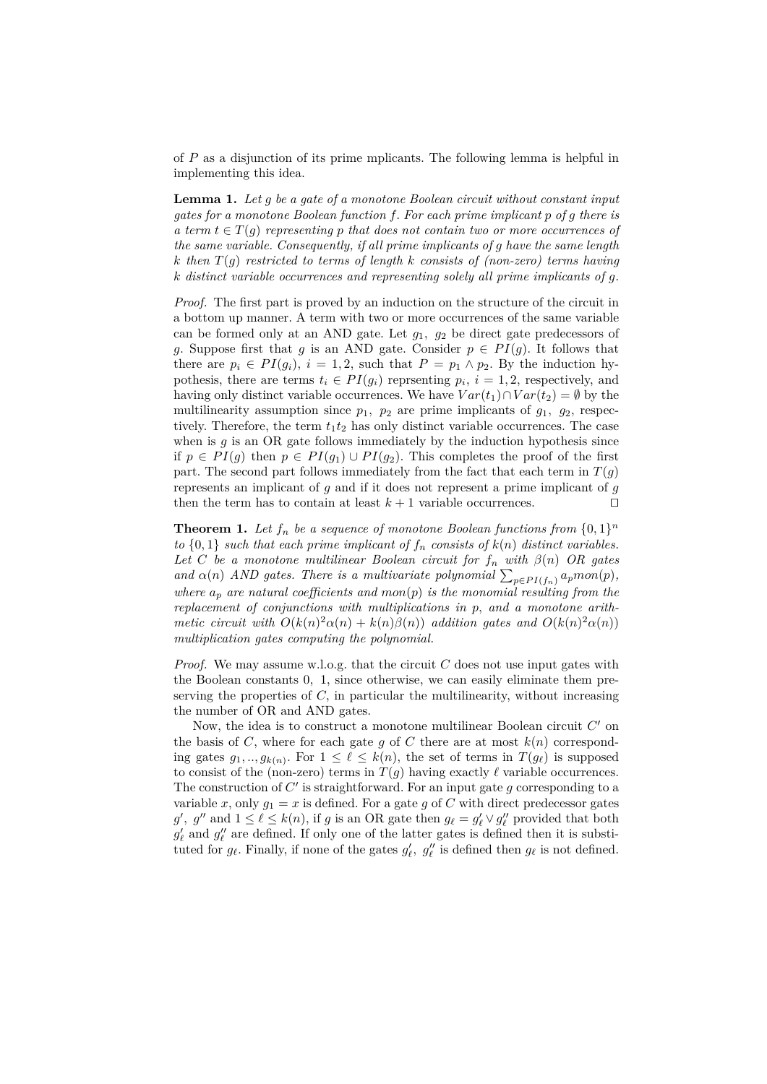of *P* as a disjunction of its prime mplicants. The following lemma is helpful in implementing this idea.

**Lemma 1.** *Let g be a gate of a monotone Boolean circuit without constant input gates for a monotone Boolean function f. For each prime implicant p of g there is a term*  $t \in T(g)$  *representing p that does not contain two or more occurrences of the same variable. Consequently, if all prime implicants of g have the same length k then T*(*g*) *restricted to terms of length k consists of (non-zero) terms having k distinct variable occurrences and representing solely all prime implicants of g.*

*Proof.* The first part is proved by an induction on the structure of the circuit in a bottom up manner. A term with two or more occurrences of the same variable can be formed only at an AND gate. Let *g*1*, g*<sup>2</sup> be direct gate predecessors of *g*. Suppose first that *g* is an AND gate. Consider  $p \in PI(g)$ . It follows that there are  $p_i \in PI(g_i)$ ,  $i = 1, 2$ , such that  $P = p_1 \wedge p_2$ . By the induction hypothesis, there are terms  $t_i \in PI(g_i)$  reprsenting  $p_i$ ,  $i = 1, 2$ , respectively, and having only distinct variable occurrences. We have  $Var(t_1) \cap Var(t_2) = \emptyset$  by the multilinearity assumption since  $p_1$ ,  $p_2$  are prime implicants of  $g_1$ ,  $g_2$ , respectively. Therefore, the term  $t_1t_2$  has only distinct variable occurrences. The case when is *g* is an OR gate follows immediately by the induction hypothesis since if *p* ∈ *PI*(*g*) then *p* ∈ *PI*(*g*<sub>1</sub>) ∪ *PI*(*g*<sub>2</sub>). This completes the proof of the first part. The second part follows immediately from the fact that each term in  $T(q)$ represents an implicant of *g* and if it does not represent a prime implicant of *g* then the term has to contain at least  $k+1$  variable occurrences.

**Theorem 1.** Let  $f_n$  be a sequence of monotone Boolean functions from  $\{0,1\}^n$ *to*  $\{0, 1\}$  *such that each prime implicant of*  $f_n$  *consists of*  $k(n)$  *distinct variables. Let C be a monotone multilinear Boolean circuit for*  $f_n$  *with*  $\beta(n)$  *OR gates and*  $\alpha(n)$  *AND* gates. There is a multivariate polynomial  $\sum_{p \in PI(f_n)} a_p m o n(p)$ , *where*  $a_p$  *are natural coefficients and mon* $(p)$  *is the monomial resulting from the replacement of conjunctions with multiplications in p, and a monotone arithmetic circuit with*  $O(k(n)^2\alpha(n) + k(n)\beta(n))$  *addition gates and*  $O(k(n)^2\alpha(n))$ *multiplication gates computing the polynomial.*

*Proof.* We may assume w.l.o.g. that the circuit *C* does not use input gates with the Boolean constants 0*,* 1, since otherwise, we can easily eliminate them preserving the properties of *C,* in particular the multilinearity, without increasing the number of OR and AND gates.

Now, the idea is to construct a monotone multilinear Boolean circuit  $C'$  on the basis of *C*, where for each gate  $g$  of  $C$  there are at most  $k(n)$  corresponding gates  $g_1, ..., g_{k(n)}$ . For  $1 \leq \ell \leq k(n)$ , the set of terms in  $T(g_\ell)$  is supposed to consist of the (non-zero) terms in  $T(q)$  having exactly  $\ell$  variable occurrences. The construction of  $C'$  is straightforward. For an input gate  $g$  corresponding to a variable *x*, only  $g_1 = x$  is defined. For a gate *g* of *C* with direct predecessor gates *g*<sup>'</sup>, *g*<sup>"</sup> and  $1 \leq \ell \leq k(n)$ , if *g* is an OR gate then  $g_{\ell} = g'_{\ell} \vee g''_{\ell}$  provided that both  $g'_\ell$  and  $g''_\ell$  are defined. If only one of the latter gates is defined then it is substituted for  $g_\ell$ . Finally, if none of the gates  $g'_\ell$ ,  $g''_\ell$  is defined then  $g_\ell$  is not defined.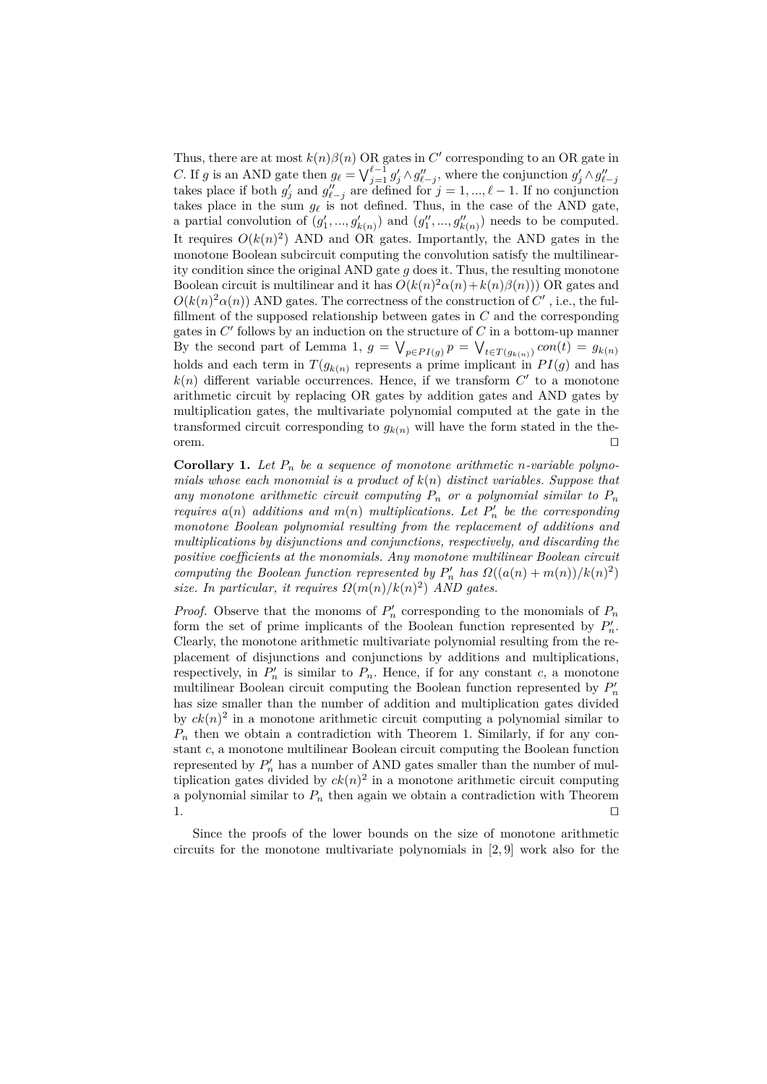Thus, there are at most  $k(n)\beta(n)$  OR gates in C' corresponding to an OR gate in C. If g is an AND gate then  $g_{\ell} = \bigvee_{j=1}^{\ell-1} g'_j \wedge g''_{\ell-j}$ , where the conjunction  $g'_j \wedge g''_{\ell-j}$  takes place if both  $g'_j$  and  $g''_{\ell-j}$  are defined for  $j = 1, ..., \ell - 1$ . If no conjunction takes place in the sum  $g_{\ell}$  is not defined. Thus, in the case of the AND gate, a partial convolution of  $(g'_1, ..., g'_{k(n)})$  and  $(g''_1, ..., g''_{k(n)})$  needs to be computed. It requires  $O(k(n)^2)$  AND and OR gates. Importantly, the AND gates in the monotone Boolean subcircuit computing the convolution satisfy the multilinearity condition since the original AND gate *g* does it. Thus, the resulting monotone Boolean circuit is multilinear and it has  $O(k(n)^2\alpha(n) + k(n)\beta(n))$  OR gates and  $O(k(n)^2\alpha(n))$  AND gates. The correctness of the construction of  $C'$ , i.e., the fulfillment of the supposed relationship between gates in *C* and the corresponding gates in  $C'$  follows by an induction on the structure of  $C$  in a bottom-up manner By the second part of Lemma 1,  $g = \bigvee_{p \in PI(g)} p = \bigvee_{t \in T(g_{k(n)})} con(t) = g_{k(n)}$ holds and each term in  $T(g_{k(n)})$  represents a prime implicant in  $PI(g)$  and has  $k(n)$  different variable occurrences. Hence, if we transform  $C'$  to a monotone arithmetic circuit by replacing OR gates by addition gates and AND gates by multiplication gates, the multivariate polynomial computed at the gate in the transformed circuit corresponding to  $g_{k(n)}$  will have the form stated in the the- $\Box$  or em.

**Corollary 1.** Let  $P_n$  be a sequence of monotone arithmetic *n*-variable polyno*mials whose each monomial is a product of k*(*n*) *distinct variables. Suppose that* any monotone arithmetic circuit computing  $P_n$  or a polynomial similar to  $P_n$ *requires*  $a(n)$  *additions and*  $m(n)$  *multiplications. Let*  $P'_n$  *be the corresponding monotone Boolean polynomial resulting from the replacement of additions and multiplications by disjunctions and conjunctions, respectively, and discarding the positive coefficients at the monomials. Any monotone multilinear Boolean circuit computing the Boolean function represented by*  $P'_n$  *has*  $\Omega((a(n) + m(n))/k(n)^2)$ *size. In particular, it requires*  $\Omega(m(n)/k(n)^2)$  *AND gates.* 

*Proof.* Observe that the monoms of  $P'_n$  corresponding to the monomials of  $P_n$ form the set of prime implicants of the Boolean function represented by  $P_n'$ . Clearly, the monotone arithmetic multivariate polynomial resulting from the replacement of disjunctions and conjunctions by additions and multiplications, respectively, in  $P'_n$  is similar to  $P_n$ . Hence, if for any constant *c*, a monotone multilinear Boolean circuit computing the Boolean function represented by  $P'_n$ has size smaller than the number of addition and multiplication gates divided by  $ck(n)^2$  in a monotone arithmetic circuit computing a polynomial similar to  $P_n$  then we obtain a contradiction with Theorem 1. Similarly, if for any constant *c*, a monotone multilinear Boolean circuit computing the Boolean function represented by  $P_n'$  has a number of AND gates smaller than the number of multiplication gates divided by  $ck(n)^2$  in a monotone arithmetic circuit computing a polynomial similar to  $P_n$  then again we obtain a contradiction with Theorem 1.  $\Box$ 

Since the proofs of the lower bounds on the size of monotone arithmetic circuits for the monotone multivariate polynomials in [2, 9] work also for the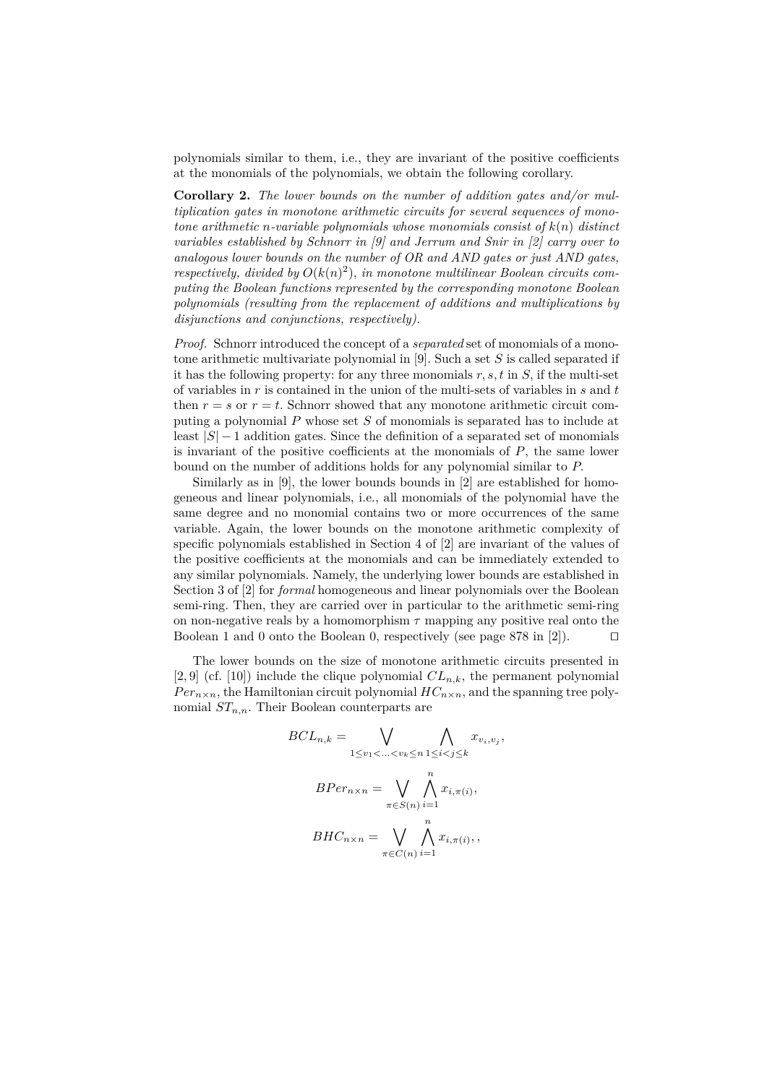polynomials similar to them, i.e., they are invariant of the positive coefficients at the monomials of the polynomials, we obtain the following corollary.

**Corollary 2.** *The lower bounds on the number of addition gates and/or multiplication gates in monotone arithmetic circuits for several sequences of monotone arithmetic n-variable polynomials whose monomials consist of k*(*n*) *distinct variables established by Schnorr in [9] and Jerrum and Snir in [2] carry over to analogous lower bounds on the number of OR and AND gates or just AND gates, respectively, divided by*  $O(k(n)^2)$ *, in monotone multilinear Boolean circuits computing the Boolean functions represented by the corresponding monotone Boolean polynomials (resulting from the replacement of additions and multiplications by disjunctions and conjunctions, respectively).*

*Proof.* Schnorr introduced the concept of a *separated* set of monomials of a monotone arithmetic multivariate polynomial in [9]. Such a set *S* is called separated if it has the following property: for any three monomials *r, s, t* in *S,* if the multi-set of variables in *r* is contained in the union of the multi-sets of variables in *s* and *t* then  $r = s$  or  $r = t$ . Schnorr showed that any monotone arithmetic circuit computing a polynomial *P* whose set *S* of monomials is separated has to include at least  $|S| - 1$  addition gates. Since the definition of a separated set of monomials is invariant of the positive coefficients at the monomials of *P*, the same lower bound on the number of additions holds for any polynomial similar to *P.*

Similarly as in [9], the lower bounds bounds in [2] are established for homogeneous and linear polynomials, i.e., all monomials of the polynomial have the same degree and no monomial contains two or more occurrences of the same variable. Again, the lower bounds on the monotone arithmetic complexity of specific polynomials established in Section 4 of [2] are invariant of the values of the positive coefficients at the monomials and can be immediately extended to any similar polynomials. Namely, the underlying lower bounds are established in Section 3 of [2] for *formal* homogeneous and linear polynomials over the Boolean semi-ring. Then, they are carried over in particular to the arithmetic semi-ring on non-negative reals by a homomorphism  $\tau$  mapping any positive real onto the Boolean 1 and 0 onto the Boolean 0, respectively (see page 878 in [2]).  $\Box$ 

The lower bounds on the size of monotone arithmetic circuits presented in [2, 9] (cf. [10]) include the clique polynomial  $CL_{n,k}$ , the permanent polynomial  $Per_{n\times n}$ , the Hamiltonian circuit polynomial  $HC_{n\times n}$ , and the spanning tree polynomial *STn,n.* Their Boolean counterparts are

$$
BCL_{n,k} = \bigvee_{1 \le v_1 < \ldots < v_k \le n} \bigwedge_{1 \le i < j \le k} x_{v_i, v_j},
$$
\n
$$
BPer_{n \times n} = \bigvee_{\pi \in S(n)} \bigwedge_{i=1}^n x_{i, \pi(i)},
$$
\n
$$
BHC_{n \times n} = \bigvee_{\pi \in C(n)} \bigwedge_{i=1}^n x_{i, \pi(i)},
$$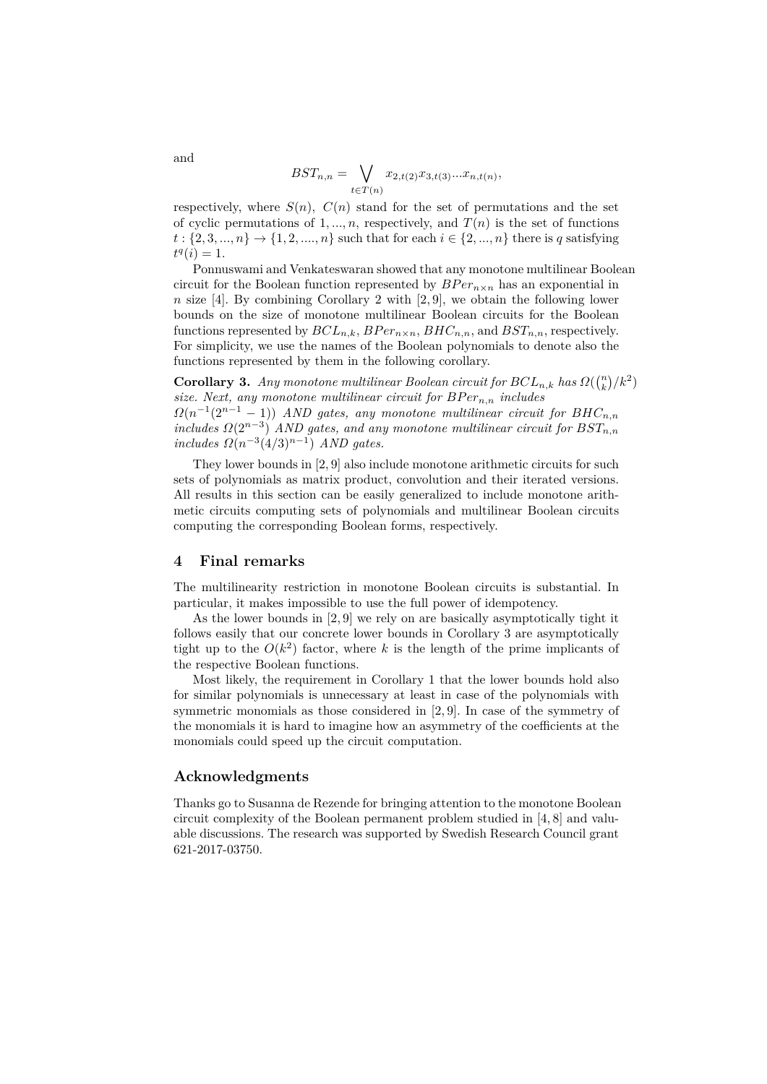$$
BST_{n,n} = \bigvee_{t \in T(n)} x_{2,t(2)} x_{3,t(3)} ... x_{n,t(n)},
$$

respectively, where  $S(n)$ ,  $C(n)$  stand for the set of permutations and the set of cyclic permutations of 1, ..., *n*, respectively, and  $T(n)$  is the set of functions  $t: \{2, 3, ..., n\} \rightarrow \{1, 2, ..., n\}$  such that for each  $i \in \{2, ..., n\}$  there is *q* satisfying  $t^q(i) = 1.$ 

Ponnuswami and Venkateswaran showed that any monotone multilinear Boolean circuit for the Boolean function represented by  $BPer_{n\times n}$  has an exponential in *n* size [4]. By combining Corollary 2 with [2, 9], we obtain the following lower bounds on the size of monotone multilinear Boolean circuits for the Boolean functions represented by  $BCL_{n,k}$ ,  $BPer_{n\times n}$ ,  $BHC_{n,n}$ , and  $BST_{n,n}$ , respectively. For simplicity, we use the names of the Boolean polynomials to denote also the functions represented by them in the following corollary.

**Corollary 3.** *Any monotone multilinear Boolean circuit for*  $BCL_{n,k}$  *has*  $\Omega\left(\binom{n}{k}/k^2\right)$ *size. Next, any monotone multilinear circuit for*  $BPer_{n,n}$  *includes*  $\Omega(n^{-1}(2^{n-1}-1))$  *AND gates, any monotone multilinear circuit for BHC*<sub>*n,n</sub>*</sub>  $i$ *ncludes*  $\Omega(2^{n-3})$  *AND* gates, and any monotone multilinear circuit for  $BST_{n,n}$  $includes \Omega(n^{-3}(4/3)^{n-1}) \text{ AND gates.}$ 

They lower bounds in [2, 9] also include monotone arithmetic circuits for such sets of polynomials as matrix product, convolution and their iterated versions. All results in this section can be easily generalized to include monotone arithmetic circuits computing sets of polynomials and multilinear Boolean circuits computing the corresponding Boolean forms, respectively.

#### **4 Final remarks**

The multilinearity restriction in monotone Boolean circuits is substantial. In particular, it makes impossible to use the full power of idempotency.

As the lower bounds in [2, 9] we rely on are basically asymptotically tight it follows easily that our concrete lower bounds in Corollary 3 are asymptotically tight up to the  $O(k^2)$  factor, where k is the length of the prime implicants of the respective Boolean functions.

Most likely, the requirement in Corollary 1 that the lower bounds hold also for similar polynomials is unnecessary at least in case of the polynomials with symmetric monomials as those considered in [2, 9]. In case of the symmetry of the monomials it is hard to imagine how an asymmetry of the coefficients at the monomials could speed up the circuit computation.

#### **Acknowledgments**

Thanks go to Susanna de Rezende for bringing attention to the monotone Boolean circuit complexity of the Boolean permanent problem studied in [4, 8] and valuable discussions. The research was supported by Swedish Research Council grant 621-2017-03750.

and